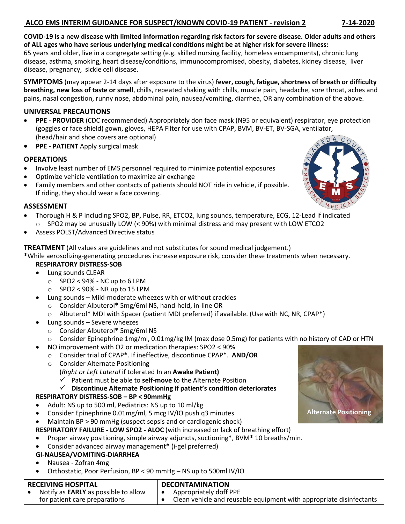## **ALCO EMS INTERIM GUIDANCE FOR SUSPECT/KNOWN COVID-19 PATIENT - revision 2 7-14-2020**

**COVID-19 is a new disease with limited information regarding risk factors for severe disease. Older adults and others of ALL ages who have serious underlying medical conditions might be at higher risk for severe illness:** 

65 years and older, live in a congregate setting (e.g. skilled nursing facility, homeless encampments), chronic lung disease, asthma, smoking, heart disease/conditions, immunocompromised, obesity, diabetes, kidney disease, liver disease, pregnancy, sickle cell disease.

**SYMPTOMS** (may appear 2-14 days after exposure to the virus) **fever, cough, fatigue, shortness of breath or difficulty breathing, new loss of taste or smell**, chills, repeated shaking with chills, muscle pain, headache, sore throat, aches and pains, nasal congestion, runny nose, abdominal pain, nausea/vomiting, diarrhea, OR any combination of the above.

### **UNIVERSAL PRECAUTIONS**

- **PPE - PROVIDER** (CDC recommended) Appropriately don face mask (N95 or equivalent) respirator, eye protection (goggles or face shield) gown, gloves, HEPA Filter for use with CPAP, BVM, BV-ET, BV-SGA, ventilator, (head/hair and shoe covers are optional)
- **PPE - PATIENT** Apply surgical mask

# **OPERATIONS**

- Involve least number of EMS personnel required to minimize potential exposures
- Optimize vehicle ventilation to maximize air exchange
- Family members and other contacts of patients should NOT ride in vehicle, if possible. If riding, they should wear a face covering.

### **ASSESSMENT**

- Thorough H & P including SPO2, BP, Pulse, RR, ETCO2, lung sounds, temperature, ECG, 12-Lead if indicated  $\circ$  SPO2 may be unusually LOW (< 90%) with minimal distress and may present with LOW ETCO2
- Assess POLST/Advanced Directive status

**TREATMENT** (All values are guidelines and not substitutes for sound medical judgement.)

**\***While aerosolizing-generating procedures increase exposure risk, consider these treatments when necessary. **RESPIRATORY DISTRESS-SOB**

- Lung sounds CLEAR
	- $\circ$  SPO2 < 94% NC up to 6 LPM
	- $\circ$  SPO2 < 90% NR up to 15 LPM
- Lung sounds Mild-moderate wheezes with or without crackles
	- o Consider Albuterol**\*** 5mg/6ml NS, hand-held, in-line OR
	- o Albuterol**\*** MDI with Spacer (patient MDI preferred) if available. (Use with NC, NR, CPAP**\***)
- Lung sounds Severe wheezes
	- o Consider Albuterol**\*** 5mg/6ml NS
	- o Consider Epinephrine 1mg/ml, 0.01mg/kg IM (max dose 0.5mg) for patients with no history of CAD or HTN
		- NO improvement with O2 or medication therapies: SPO2 < 90%
		- o Consider trial of CPAP**\***. If ineffective, discontinue CPAP\*. **AND/OR**
		- o Consider Alternate Positioning

(*Right or Left Lateral* if tolerated In an **Awake Patient)**

✓ Patient must be able to **self-move** to the Alternate Position

✓ **Discontinue Alternate Positioning if patient's condition deteriorates** 

### **RESPIRATORY DISTRESS-SOB – BP < 90mmHg**

- Adult: NS up to 500 ml, Pediatrics: NS up to 10 ml/kg
- Consider Epinephrine 0.01mg/ml, 5 mcg IV/IO push q3 minutes
- Maintain BP > 90 mmHg (suspect sepsis and or cardiogenic shock)

### **RESPIRATORY FAILURE - LOW SPO2 - ALOC** (with increased or lack of breathing effort)

- Proper airway positioning, simple airway adjuncts, suctioning**\***, BVM**\*** 10 breaths/min.
- Consider advanced airway management**\*** (i-gel preferred)

### **GI-NAUSEA/VOMITING-DIARRHEA**

- Nausea Zofran 4mg
- Orthostatic, Poor Perfusion, BP < 90 mmHg NS up to 500ml IV/IO

#### **RECEIVING HOSPITAL**

• Notify as **EARLY** as possible to allow for patient care preparations **DECONTAMINATION** • Appropriately doff PPE • Clean vehicle and reusable equipment with appropriate disinfectants